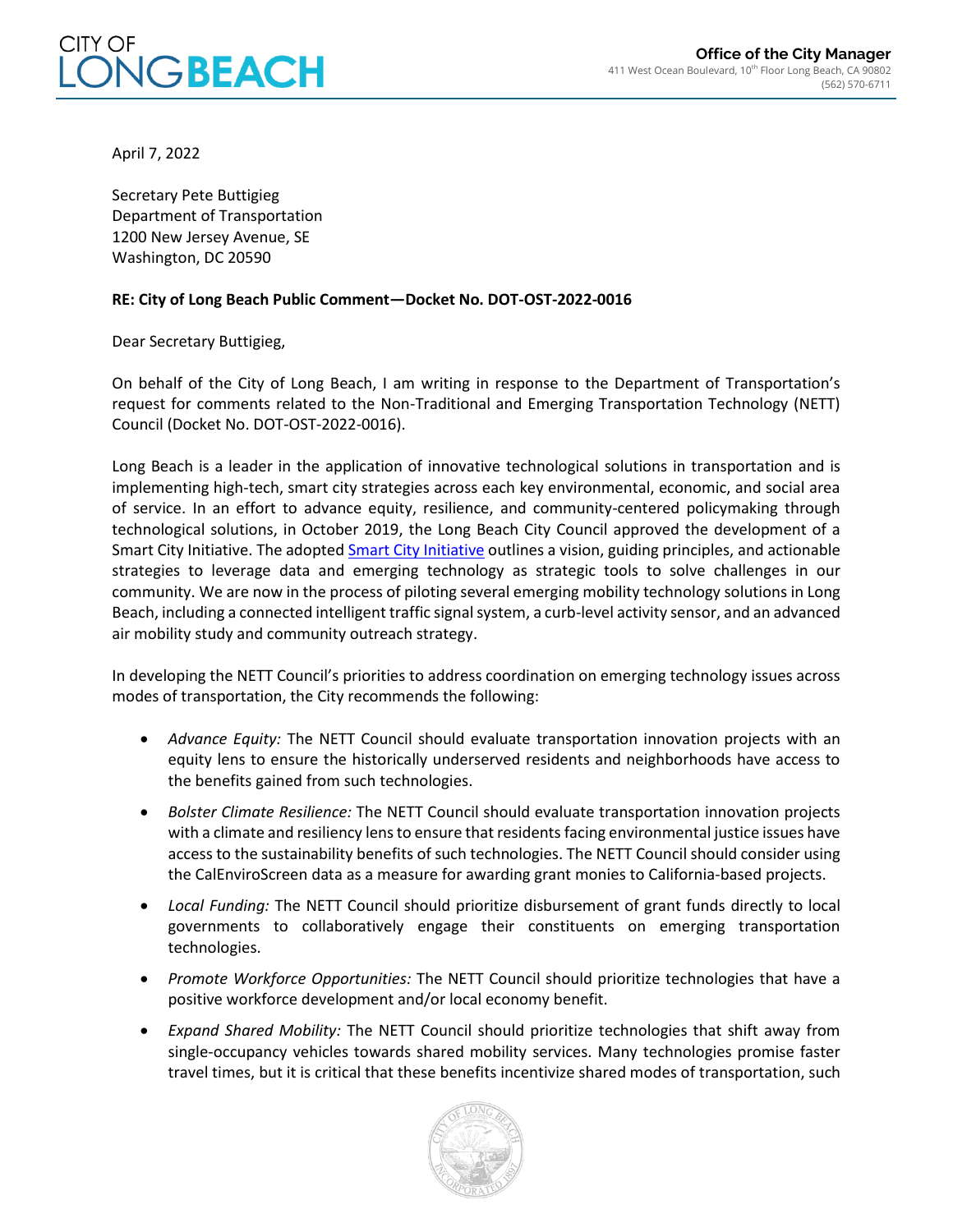

April 7, 2022

Secretary Pete Buttigieg Department of Transportation 1200 New Jersey Avenue, SE Washington, DC 20590

## **RE: City of Long Beach Public Comment—Docket No. DOT-OST-2022-0016**

Dear Secretary Buttigieg,

On behalf of the City of Long Beach, I am writing in response to the Department of Transportation's request for comments related to the Non-Traditional and Emerging Transportation Technology (NETT) Council (Docket No. DOT-OST-2022-0016).

Long Beach is a leader in the application of innovative technological solutions in transportation and is implementing high-tech, smart city strategies across each key environmental, economic, and social area of service. In an effort to advance equity, resilience, and community-centered policymaking through technological solutions, in October 2019, the Long Beach City Council approved the development of a Smart City Initiative. The adopte[d Smart City Initiative](https://longbeach.gov/globalassets/smart-city/media-library/documents/smart-city-initiative-strategy---approved) outlines a vision, guiding principles, and actionable strategies to leverage data and emerging technology as strategic tools to solve challenges in our community. We are now in the process of piloting several emerging mobility technology solutions in Long Beach, including a connected intelligent traffic signal system, a curb-level activity sensor, and an advanced air mobility study and community outreach strategy.

In developing the NETT Council's priorities to address coordination on emerging technology issues across modes of transportation, the City recommends the following:

- *Advance Equity:* The NETT Council should evaluate transportation innovation projects with an equity lens to ensure the historically underserved residents and neighborhoods have access to the benefits gained from such technologies.
- *Bolster Climate Resilience:* The NETT Council should evaluate transportation innovation projects with a climate and resiliency lens to ensure that residents facing environmental justice issues have access to the sustainability benefits of such technologies. The NETT Council should consider using the CalEnviroScreen data as a measure for awarding grant monies to California-based projects.
- *Local Funding:* The NETT Council should prioritize disbursement of grant funds directly to local governments to collaboratively engage their constituents on emerging transportation technologies.
- *Promote Workforce Opportunities:* The NETT Council should prioritize technologies that have a positive workforce development and/or local economy benefit.
- *Expand Shared Mobility:* The NETT Council should prioritize technologies that shift away from single-occupancy vehicles towards shared mobility services. Many technologies promise faster travel times, but it is critical that these benefits incentivize shared modes of transportation, such